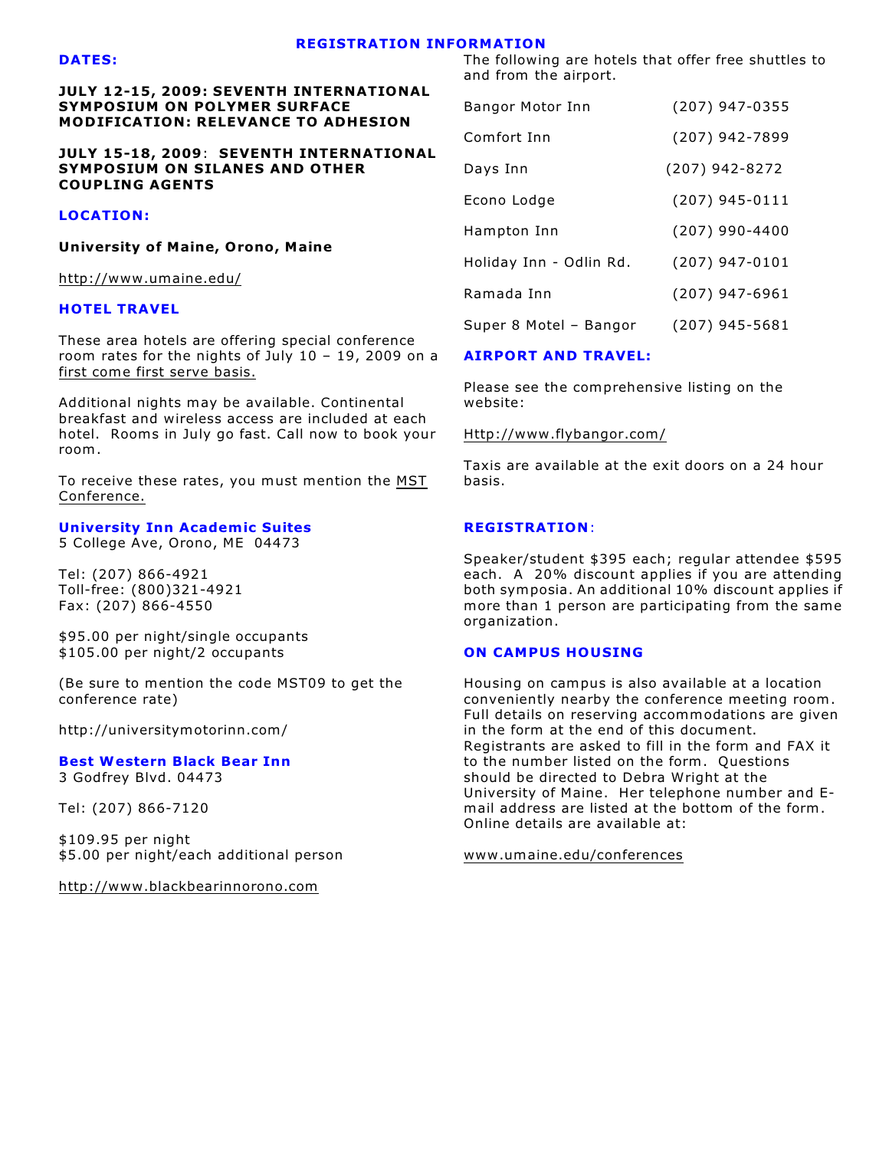#### **REGISTRATION INFORMATION**

#### **DATES:**

**JULY 12-15, 2009: SEVENTH INTERNATIONAL SYMPOSIUM ON POLYMER SURFACE MODIFICATION: RELEVANCE TO ADHESION**

**JULY 15-18, 2009**: **SEVENTH INTERNATIONAL SYMPOSIUM ON SILANES AND OTHER COUPLING AGENTS**

### **LOCATION:**

**University of Maine, Orono, Maine**

<http://www.umaine.edu/>

#### **HOTEL TRAVEL**

These area hotels are offering special conference room rates for the nights of July 10 – 19, 2009 on a first come first serve basis.

Additional nights may be available. Continental breakfast and wireless access are included at each hotel. Rooms in July go fast. Call now to book your room .

To receive these rates, you must mention the MST Conference.

# **University Inn Academic Suites**

5 College Ave, Orono, ME 04473

Tel: (207) 866-4921 Toll-free: (800)321-4921 Fax: (207) 866-4550

\$95.00 per night/single occupants \$105.00 per night/2 occupants

(Be sure to mention the code MST09 to get the conference rate)

http://universitymotorinn.com/

**Best Western Black Bear Inn** 3 Godfrey Blvd. 04473

Tel: (207) 866-7120

\$109.95 per night \$5.00 per night/each additional person

<http://www.blackbearinnorono.com>

The following are hotels that offer free shuttles to and from the airport.

| Bangor Motor Inn        | (207) 947-0355   |
|-------------------------|------------------|
| Comfort Inn             | (207) 942-7899   |
| Days Inn                | $(207)$ 942-8272 |
| Econo Lodge             | (207) 945-0111   |
| Hampton Inn             | (207) 990-4400   |
| Holiday Inn - Odlin Rd. | (207) 947-0101   |
| Ramada Inn              | (207) 947-6961   |
| Super 8 Motel - Bangor  | (207) 945-5681   |

## **AIRPORT AND TRAVEL:**

Please see the comprehensive listing on the website:

#### <Http://www.flybangor.com/>

Taxis are available at the exit doors on a 24 hour basis.

#### **REGISTRATION**:

Speaker/student \$395 each; regular attendee \$595 each. A 20% discount applies if you are attending both symposia. An additional 10% discount applies if more than 1 person are participating from the same organization.

#### **ON CAMPUS HOUSING**

Housing on campus is also available at a location conveniently nearby the conference meeting room. Full details on reserving accommodations are given in the form at the end of this document. Registrants are asked to fill in the form and FAX it to the number listed on the form. Questions should be directed to Debra Wright at the University of Maine. Her telephone number and Email address are listed at the bottom of the form. Online details are available at:

[www.umaine.edu/conferences](http://www.umaine.edu/conferences)